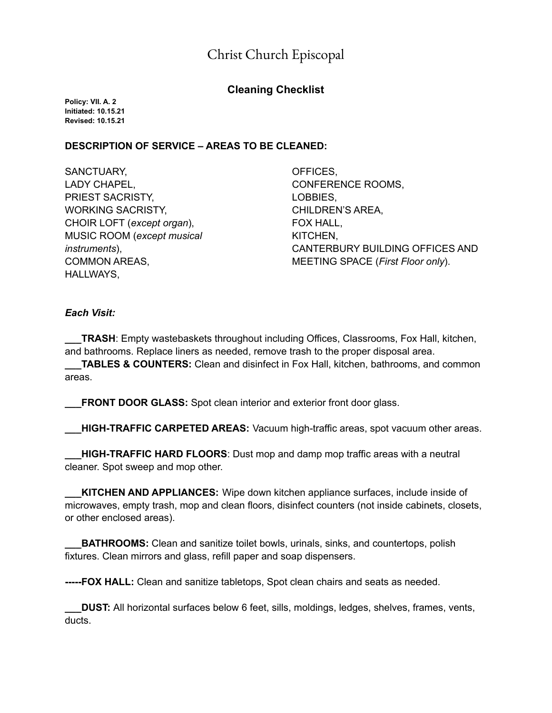# Christ Church Episcopal

# **Cleaning Checklist**

**Policy: VII. A. 2 Initiated: 10.15.21 Revised: 10.15.21**

### **DESCRIPTION OF SERVICE – AREAS TO BE CLEANED:**

SANCTUARY, LADY CHAPEL, PRIEST SACRISTY, WORKING SACRISTY, CHOIR LOFT (*except organ*), MUSIC ROOM (*except musical instruments*), COMMON AREAS, HALLWAYS,

OFFICES, CONFERENCE ROOMS, LOBBIES, CHILDREN'S AREA, FOX HALL, KITCHEN, CANTERBURY BUILDING OFFICES AND MEETING SPACE (*First Floor only*).

#### *Each Visit:*

**TRASH:** Empty wastebaskets throughout including Offices, Classrooms, Fox Hall, kitchen, and bathrooms. Replace liners as needed, remove trash to the proper disposal area.

**\_\_\_TABLES & COUNTERS:** Clean and disinfect in Fox Hall, kitchen, bathrooms, and common areas.

**FRONT DOOR GLASS:** Spot clean interior and exterior front door glass.

**\_\_\_HIGH-TRAFFIC CARPETED AREAS:** Vacuum high-traffic areas, spot vacuum other areas.

**\_\_\_HIGH-TRAFFIC HARD FLOORS**: Dust mop and damp mop traffic areas with a neutral cleaner. Spot sweep and mop other.

**KITCHEN AND APPLIANCES:** Wipe down kitchen appliance surfaces, include inside of microwaves, empty trash, mop and clean floors, disinfect counters (not inside cabinets, closets, or other enclosed areas).

**BATHROOMS:** Clean and sanitize toilet bowls, urinals, sinks, and countertops, polish fixtures. Clean mirrors and glass, refill paper and soap dispensers.

**-----FOX HALL:** Clean and sanitize tabletops, Spot clean chairs and seats as needed.

**\_\_\_DUST:** All horizontal surfaces below 6 feet, sills, moldings, ledges, shelves, frames, vents, ducts.